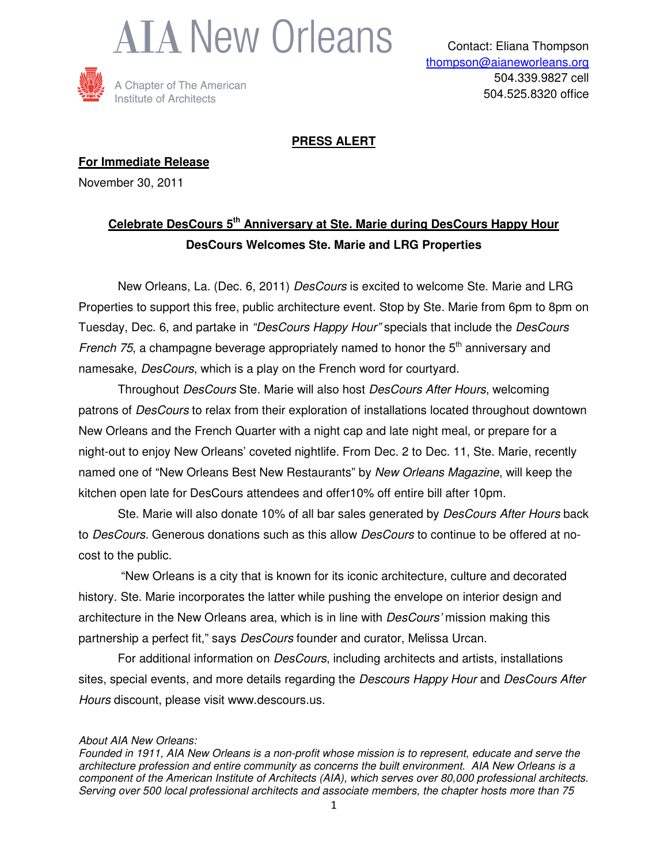



### **PRESS ALERT**

**For Immediate Release** November 30, 2011

## **Celebrate DesCours 5th Anniversary at Ste. Marie during DesCours Happy Hour DesCours Welcomes Ste. Marie and LRG Properties**

 New Orleans, La. (Dec. 6, 2011) DesCours is excited to welcome Ste. Marie and LRG Properties to support this free, public architecture event. Stop by Ste. Marie from 6pm to 8pm on Tuesday, Dec. 6, and partake in "DesCours Happy Hour" specials that include the DesCours French 75, a champagne beverage appropriately named to honor the  $5<sup>th</sup>$  anniversary and namesake, DesCours, which is a play on the French word for courtyard.

Throughout DesCours Ste. Marie will also host DesCours After Hours, welcoming patrons of DesCours to relax from their exploration of installations located throughout downtown New Orleans and the French Quarter with a night cap and late night meal, or prepare for a night-out to enjoy New Orleans' coveted nightlife. From Dec. 2 to Dec. 11, Ste. Marie, recently named one of "New Orleans Best New Restaurants" by New Orleans Magazine, will keep the kitchen open late for DesCours attendees and offer10% off entire bill after 10pm.

Ste. Marie will also donate 10% of all bar sales generated by *DesCours After Hours* back to DesCours. Generous donations such as this allow DesCours to continue to be offered at nocost to the public.

 "New Orleans is a city that is known for its iconic architecture, culture and decorated history. Ste. Marie incorporates the latter while pushing the envelope on interior design and architecture in the New Orleans area, which is in line with *DesCours'* mission making this partnership a perfect fit," says *DesCours* founder and curator, Melissa Urcan.

For additional information on *DesCours*, including architects and artists, installations sites, special events, and more details regarding the *Descours Happy Hour* and *DesCours After* Hours discount, please visit www.descours.us.

#### About AIA New Orleans:

Founded in 1911, AIA New Orleans is a non-profit whose mission is to represent, educate and serve the architecture profession and entire community as concerns the built environment. AIA New Orleans is a component of the American Institute of Architects (AIA), which serves over 80,000 professional architects. Serving over 500 local professional architects and associate members, the chapter hosts more than 75